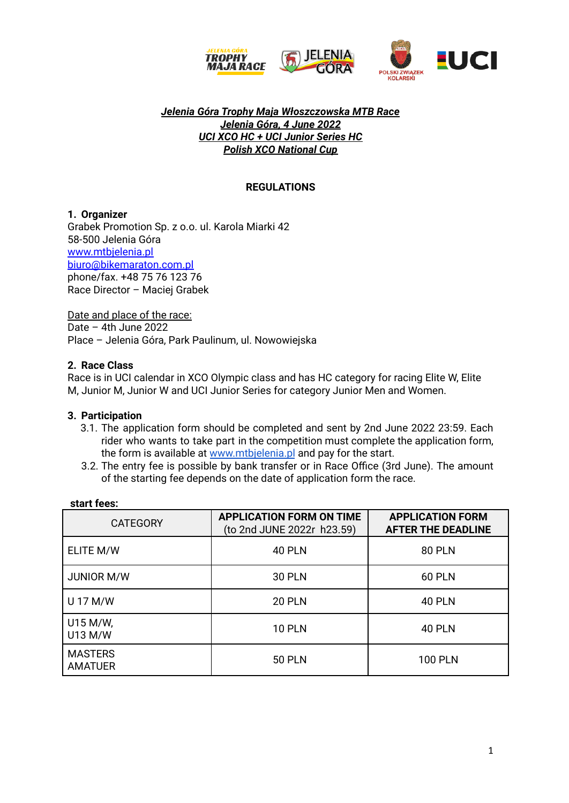

### *Jelenia Góra Trophy Maja Włoszczowska MTB Race Jelenia Góra, 4 June 2022 UCI XCO HC + UCI Junior Series HC Polish XCO National Cup*

# **REGULATIONS**

### **1. Organizer**

Grabek Promotion Sp. z o.o. ul. Karola Miarki 42 58-500 Jelenia Góra [www.mtbjelenia.pl](http://www.mtbjelenia.pl/) [biuro@bikemaraton.com.pl](mailto:biuro@bikemaraton.com.pl) phone/fax. +48 75 76 123 76 Race Director – Maciej Grabek

Date and place of the race: Date – 4th June 2022 Place – Jelenia Góra, Park Paulinum, ul. Nowowiejska

### **2. Race Class**

Race is in UCI calendar in XCO Olympic class and has HC category for racing Elite W, Elite M, Junior M, Junior W and UCI Junior Series for category Junior Men and Women.

### **3. Participation**

- 3.1. The application form should be completed and sent by 2nd June 2022 23:59. Each rider who wants to take part in the competition must complete the application form, the form is available at [www.mtbjelenia.pl](http://www.mtbjelenia.pl) and pay for the start.
- 3.2. The entry fee is possible by bank transfer or in Race Office (3rd June). The amount of the starting fee depends on the date of application form the race.

| <b>CATEGORY</b>                  | <b>APPLICATION FORM ON TIME</b><br>(to 2nd JUNE 2022r h23.59) | <b>APPLICATION FORM</b><br><b>AFTER THE DEADLINE</b> |  |
|----------------------------------|---------------------------------------------------------------|------------------------------------------------------|--|
| ELITE M/W                        | <b>40 PLN</b>                                                 | <b>80 PLN</b>                                        |  |
| <b>JUNIOR M/W</b>                | <b>30 PLN</b>                                                 | <b>60 PLN</b>                                        |  |
| U 17 M/W                         | <b>20 PLN</b>                                                 | <b>40 PLN</b>                                        |  |
| U15 M/W,<br>U13 M/W              | <b>10 PLN</b>                                                 | <b>40 PLN</b>                                        |  |
| <b>MASTERS</b><br><b>AMATUER</b> | <b>50 PLN</b>                                                 | <b>100 PLN</b>                                       |  |

### **start fees:**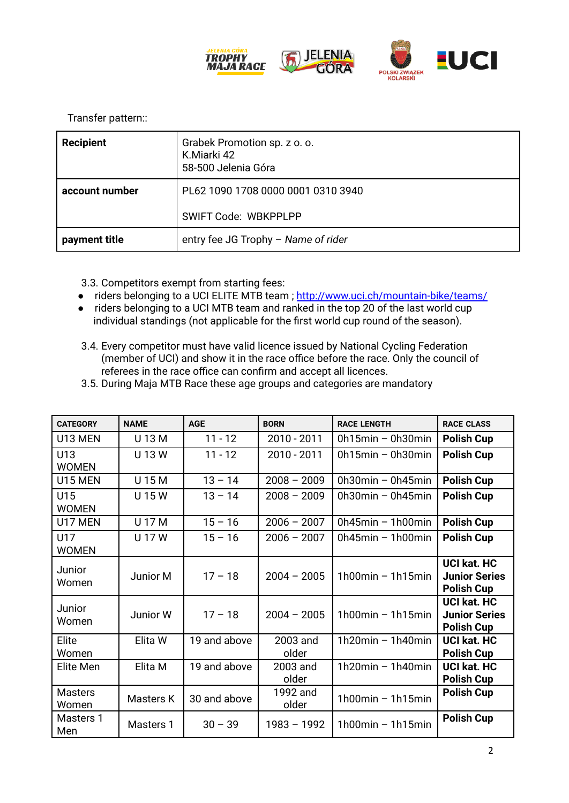

Transfer pattern::

| <b>Recipient</b> | Grabek Promotion sp. z o. o.<br>K.Miarki 42<br>58-500 Jelenia Góra |  |
|------------------|--------------------------------------------------------------------|--|
| account number   | PL62 1090 1708 0000 0001 0310 3940                                 |  |
|                  | <b>SWIFT Code: WBKPPLPP</b>                                        |  |
| payment title    | entry fee JG Trophy - Name of rider                                |  |

3.3. Competitors exempt from starting fees:

- riders belonging to a UCI ELITE MTB team; <http://www.uci.ch/mountain-bike/teams/>
- riders belonging to a UCI MTB team and ranked in the top 20 of the last world cup individual standings (not applicable for the first world cup round of the season).
- 3.4. Every competitor must have valid licence issued by National Cycling Federation (member of UCI) and show it in the race office before the race. Only the council of referees in the race office can confirm and accept all licences.
- 3.5. During Maja MTB Race these age groups and categories are mandatory

| <b>CATEGORY</b>         | <b>NAME</b> | <b>AGE</b>   | <b>BORN</b>       | <b>RACE LENGTH</b>       | <b>RACE CLASS</b>                                               |
|-------------------------|-------------|--------------|-------------------|--------------------------|-----------------------------------------------------------------|
| U13 MEN                 | U 13 M      | $11 - 12$    | 2010 - 2011       | $0h15min - 0h30min$      | <b>Polish Cup</b>                                               |
| U13<br><b>WOMEN</b>     | U 13 W      | $11 - 12$    | 2010 - 2011       | $0h15min - 0h30min$      | <b>Polish Cup</b>                                               |
| U15 MEN                 | U 15 M      | $13 - 14$    | $2008 - 2009$     | $0h30min - 0h45min$      | <b>Polish Cup</b>                                               |
| U15<br><b>WOMEN</b>     | U 15 W      | $13 - 14$    | $2008 - 2009$     | $0h30min - 0h45min$      | <b>Polish Cup</b>                                               |
| U17 MEN                 | U 17 M      | $15 - 16$    | $2006 - 2007$     | $0h45min - 1h00min$      | <b>Polish Cup</b>                                               |
| U17<br><b>WOMEN</b>     | U 17 W      | $15 - 16$    | $2006 - 2007$     | $0h45min - 1h00min$      | <b>Polish Cup</b>                                               |
| Junior<br>Women         | Junior M    | $17 - 18$    | $2004 - 2005$     | $1h00min - 1h15min$      | <b>UCI kat. HC</b><br><b>Junior Series</b><br><b>Polish Cup</b> |
| Junior<br>Women         | Junior W    | $17 - 18$    | $2004 - 2005$     | $1h00min - 1h15min$      | <b>UCI kat. HC</b><br><b>Junior Series</b><br><b>Polish Cup</b> |
| Elite<br>Women          | Elita W     | 19 and above | 2003 and<br>older | 1h20 $min - 1$ h40 $min$ | <b>UCI kat. HC</b><br><b>Polish Cup</b>                         |
| Elite Men               | Elita M     | 19 and above | 2003 and<br>older | 1h20 $min - 1$ h40 $min$ | <b>UCI kat. HC</b><br><b>Polish Cup</b>                         |
| <b>Masters</b><br>Women | Masters K   | 30 and above | 1992 and<br>older | $1h00min - 1h15min$      | <b>Polish Cup</b>                                               |
| Masters 1<br>Men        | Masters 1   | $30 - 39$    | $1983 - 1992$     | $1h00min - 1h15min$      | <b>Polish Cup</b>                                               |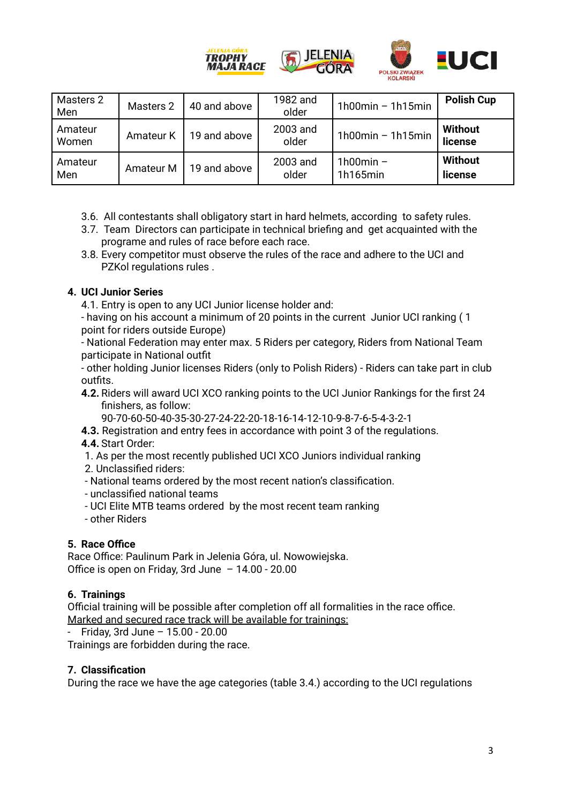

| Masters 2<br>Men | Masters 2 | 40 and above | 1982 and<br>older | $1h00min - 1h15min$       | <b>Polish Cup</b>         |
|------------------|-----------|--------------|-------------------|---------------------------|---------------------------|
| Amateur<br>Women | Amateur K | 19 and above | 2003 and<br>older | $1h00min - 1h15min$       | Without<br>license        |
| Amateur<br>Men   | Amateur M | 19 and above | 2003 and<br>older | 1 $h$ 00min -<br>1h165min | <b>Without</b><br>license |

- 3.6. All contestants shall obligatory start in hard helmets, according to safety rules.
- 3.7. Team Directors can participate in technical briefing and get acquainted with the programe and rules of race before each race.
- 3.8. Every competitor must observe the rules of the race and adhere to the UCI and PZKol regulations rules .

# **4. UCI Junior Series**

- 4.1. Entry is open to any UCI Junior license holder and:
- having on his account a minimum of 20 points in the current Junior UCI ranking ( 1 point for riders outside Europe)

- National Federation may enter max. 5 Riders per category, Riders from National Team participate in National outfit

- other holding Junior licenses Riders (only to Polish Riders) - Riders can take part in club outfits.

**4.2.** Riders will award UCI XCO ranking points to the UCI Junior Rankings for the first 24 finishers, as follow:

90-70-60-50-40-35-30-27-24-22-20-18-16-14-12-10-9-8-7-6-5-4-3-2-1

- **4.3.** Registration and entry fees in accordance with point 3 of the regulations.
- **4.4.** Start Order:
- 1. As per the most recently published UCI XCO Juniors individual ranking
- 2. Unclassified riders:
- National teams ordered by the most recent nation's classification.
- unclassified national teams
- UCI Elite MTB teams ordered by the most recent team ranking
- other Riders

## **5. Race Office**

Race Office: Paulinum Park in Jelenia Góra, ul. Nowowiejska. Office is open on Friday, 3rd June – 14.00 - 20.00

## **6. Trainings**

Official training will be possible after completion off all formalities in the race office. Marked and secured race track will be available for trainings:

- Friday, 3rd June – 15.00 - 20.00

Trainings are forbidden during the race.

## **7. Classification**

During the race we have the age categories (table 3.4.) according to the UCI regulations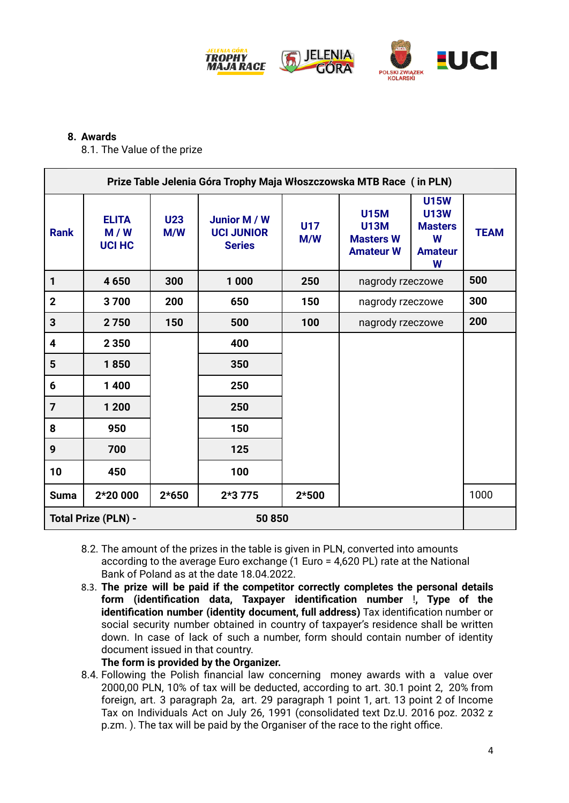

### **8. Awards**

8.1. The Value of the prize

| Prize Table Jelenia Góra Trophy Maja Włoszczowska MTB Race (in PLN) |                                      |                   |                                                    |                   |                                                                    |                                                                          |             |
|---------------------------------------------------------------------|--------------------------------------|-------------------|----------------------------------------------------|-------------------|--------------------------------------------------------------------|--------------------------------------------------------------------------|-------------|
| <b>Rank</b>                                                         | <b>ELITA</b><br>M/W<br><b>UCI HC</b> | <b>U23</b><br>M/W | Junior M / W<br><b>UCI JUNIOR</b><br><b>Series</b> | <b>U17</b><br>M/W | <b>U15M</b><br><b>U13M</b><br><b>Masters W</b><br><b>Amateur W</b> | <b>U15W</b><br><b>U13W</b><br><b>Masters</b><br>W<br><b>Amateur</b><br>W | <b>TEAM</b> |
| 1                                                                   | 4650                                 | 300               | 1 0 0 0                                            | 250               | nagrody rzeczowe                                                   |                                                                          | 500         |
| $\mathbf{2}$                                                        | 3700                                 | 200               | 650                                                | 150               | nagrody rzeczowe                                                   |                                                                          | 300         |
| $\mathbf{3}$                                                        | 2750                                 | 150               | 500                                                | 100               | nagrody rzeczowe                                                   |                                                                          | 200         |
| 4                                                                   | 2 3 5 0                              |                   | 400                                                |                   |                                                                    |                                                                          |             |
| $5\phantom{1}$                                                      | 1850                                 |                   | 350                                                |                   |                                                                    |                                                                          |             |
| 6                                                                   | 1 4 0 0                              |                   | 250                                                |                   |                                                                    |                                                                          |             |
| $\overline{7}$                                                      | 1 200                                |                   | 250                                                |                   |                                                                    |                                                                          |             |
| 8                                                                   | 950                                  |                   | 150                                                |                   |                                                                    |                                                                          |             |
| 9                                                                   | 700                                  |                   | 125                                                |                   |                                                                    |                                                                          |             |
| 10                                                                  | 450                                  |                   | 100                                                |                   |                                                                    |                                                                          |             |
| <b>Suma</b>                                                         | 2*20 000                             | $2*650$           | $2*3775$                                           | $2*500$           |                                                                    |                                                                          | 1000        |
| <b>Total Prize (PLN) -</b><br>50850                                 |                                      |                   |                                                    |                   |                                                                    |                                                                          |             |

- 8.2. The amount of the prizes in the table is given in PLN, converted into amounts according to the average Euro exchange (1 Euro = 4,620 PL) rate at the National Bank of Poland as at the date 18.04.2022.
- 8.3. **The prize will be paid if the competitor correctly completes the personal details form (identification data, Taxpayer identification number** !**, Type of the identification number (identity document, full address)** Tax identification number or social security number obtained in country of taxpayer's residence shall be written down. In case of lack of such a number, form should contain number of identity document issued in that country.

**The form is provided by the Organizer.**

8.4. Following the Polish financial law concerning money awards with a value over 2000,00 PLN, 10% of tax will be deducted, according to art. 30.1 point 2, 20% from foreign, art. 3 paragraph 2a, art. 29 paragraph 1 point 1, art. 13 point 2 of Income Tax on Individuals Act on July 26, 1991 (consolidated text Dz.U. 2016 poz. 2032 z p.zm. ). The tax will be paid by the Organiser of the race to the right office.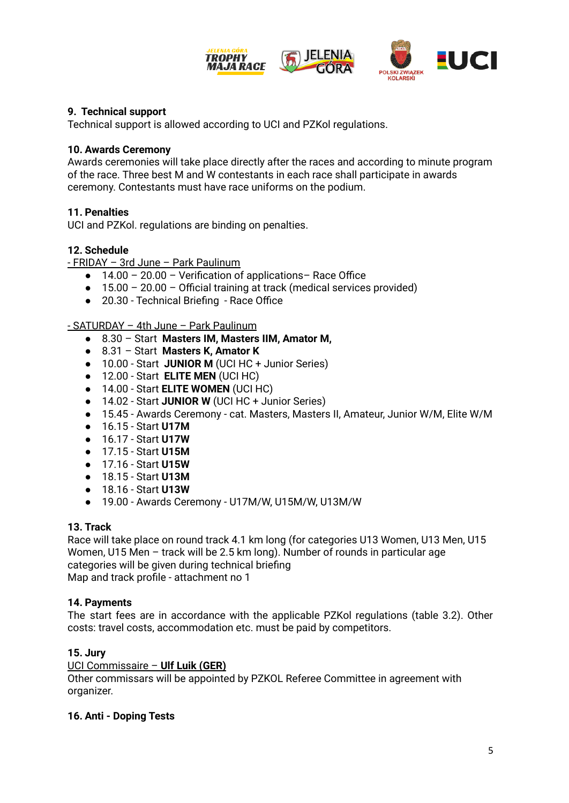

# **9. Technical support**

Technical support is allowed according to UCI and PZKol regulations.

### **10. Awards Ceremony**

Awards ceremonies will take place directly after the races and according to minute program of the race. Three best M and W contestants in each race shall participate in awards ceremony. Contestants must have race uniforms on the podium.

## **11. Penalties**

UCI and PZKol. regulations are binding on penalties.

## **12. Schedule**

- FRIDAY – 3rd June – Park Paulinum

- **●** 14.00 20.00 Verification of applications– Race Office
- **●** 15.00 20.00 Official training at track (medical services provided)
- **●** 20.30 Technical Briefing Race Office

### - SATURDAY – 4th June – Park Paulinum

- 8.30 Start **Masters IM, Masters IIM, Amator M,**
- 8.31 Start **Masters K, Amator K**
- 10.00 Start **JUNIOR M** (UCI HC + Junior Series)
- 12.00 Start **ELITE MEN** (UCI HC)
- 14.00 Start **ELITE WOMEN** (UCI HC)
- 14.02 Start **JUNIOR W** (UCI HC + Junior Series)
- 15.45 Awards Ceremony cat. Masters, Masters II, Amateur, Junior W/M, Elite W/M
- 16.15 Start **U17M**
- 16.17 Start **U17W**
- 17.15 Start **U15M**
- 17.16 Start **U15W**
- 18.15 Start **U13M**
- 18.16 Start **U13W**
- 19.00 Awards Ceremony U17M/W, U15M/W, U13M/W

### **13. Track**

Race will take place on round track 4.1 km long (for categories U13 Women, U13 Men, U15 Women, U15 Men – track will be 2.5 km long). Number of rounds in particular age categories will be given during technical briefing Map and track profile - attachment no 1

## **14. Payments**

The start fees are in accordance with the applicable PZKol regulations (table 3.2). Other costs: travel costs, accommodation etc. must be paid by competitors.

## **15. Jury**

### UCI Commissaire – **Ulf Luik (GER)**

Other commissars will be appointed by PZKOL Referee Committee in agreement with organizer.

### **16. Anti - Doping Tests**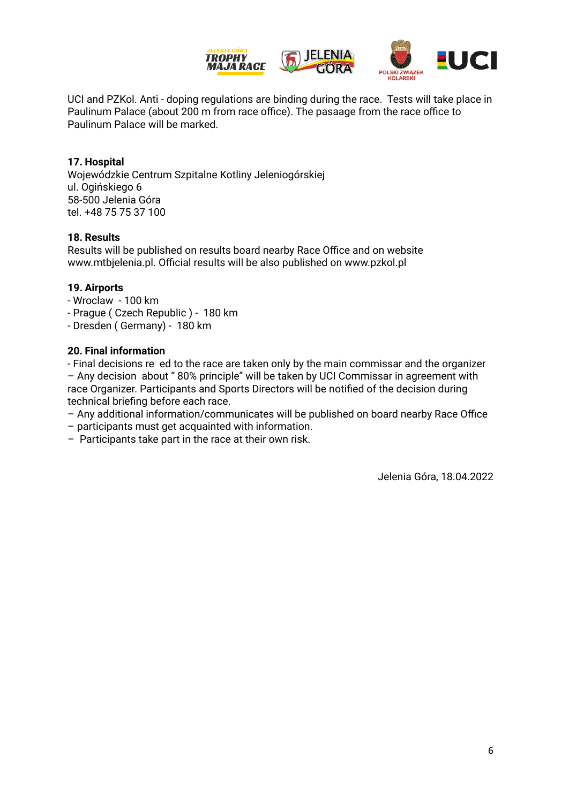

UCI and PZKol. Anti - doping regulations are binding during the race. Tests will take place in Paulinum Palace (about 200 m from race office). The pasaage from the race office to Paulinum Palace will be marked.

### **17. Hospital**

Wojewódzkie Centrum Szpitalne Kotliny Jeleniogórskiej ul. Ogińskiego 6 58-500 Jelenia Góra tel. +48 75 75 37 100

### **18. Results**

Results will be published on results board nearby Race Office and on website www.mtbjelenia.pl. Official results will be also published on www.pzkol.pl

### **19. Airports**

- Wroclaw 100 km
- Prague ( Czech Republic ) 180 km
- Dresden ( Germany) 180 km

#### **20. Final information**

- Final decisions re ed to the race are taken only by the main commissar and the organizer – Any decision about " 80% principle" will be taken by UCI Commissar in agreement with race Organizer. Participants and Sports Directors will be notified of the decision during technical briefing before each race.

- Any additional information/communicates will be published on board nearby Race Office
- participants must get acquainted with information.
- Participants take part in the race at their own risk.

Jelenia Góra, 18.04.2022